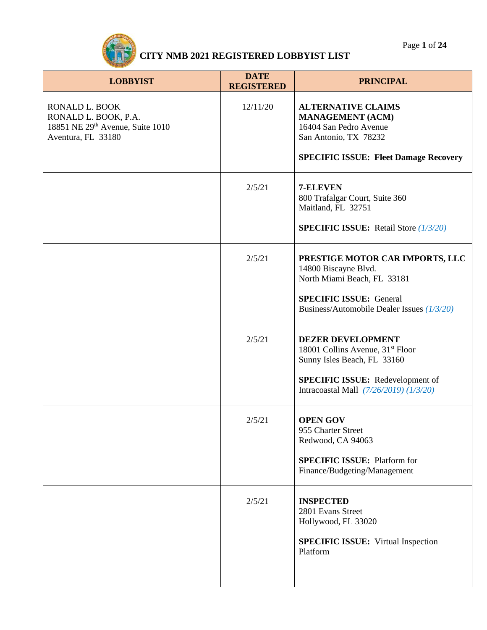| <b>LOBBYIST</b>                                                                                  | <b>DATE</b><br><b>REGISTERED</b> | <b>PRINCIPAL</b>                                                                                                                                                                             |
|--------------------------------------------------------------------------------------------------|----------------------------------|----------------------------------------------------------------------------------------------------------------------------------------------------------------------------------------------|
| RONALD L. BOOK<br>RONALD L. BOOK, P.A.<br>18851 NE 29th Avenue, Suite 1010<br>Aventura, FL 33180 | 12/11/20                         | <b>ALTERNATIVE CLAIMS</b><br><b>MANAGEMENT (ACM)</b><br>16404 San Pedro Avenue<br>San Antonio, TX 78232<br><b>SPECIFIC ISSUE: Fleet Damage Recovery</b>                                      |
|                                                                                                  | 2/5/21                           | 7-ELEVEN<br>800 Trafalgar Court, Suite 360<br>Maitland, FL 32751<br><b>SPECIFIC ISSUE:</b> Retail Store $(1/3/20)$                                                                           |
|                                                                                                  | 2/5/21                           | PRESTIGE MOTOR CAR IMPORTS, LLC<br>14800 Biscayne Blvd.<br>North Miami Beach, FL 33181<br><b>SPECIFIC ISSUE: General</b><br>Business/Automobile Dealer Issues (1/3/20)                       |
|                                                                                                  | 2/5/21                           | <b>DEZER DEVELOPMENT</b><br>18001 Collins Avenue, 31 <sup>st</sup> Floor<br>Sunny Isles Beach, FL 33160<br><b>SPECIFIC ISSUE:</b> Redevelopment of<br>Intracoastal Mall (7/26/2019) (1/3/20) |
|                                                                                                  | 2/5/21                           | <b>OPEN GOV</b><br>955 Charter Street<br>Redwood, CA 94063<br><b>SPECIFIC ISSUE: Platform for</b><br>Finance/Budgeting/Management                                                            |
|                                                                                                  | 2/5/21                           | <b>INSPECTED</b><br>2801 Evans Street<br>Hollywood, FL 33020<br><b>SPECIFIC ISSUE:</b> Virtual Inspection<br>Platform                                                                        |

Page **1** of **24**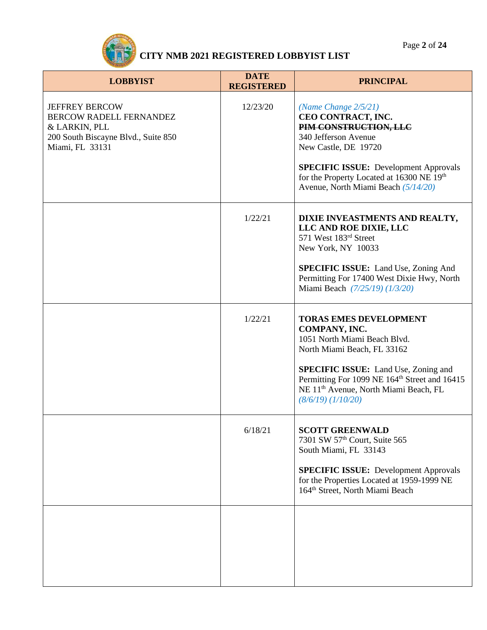Page **2** of **24**



| <b>LOBBYIST</b>                                                                                                             | <b>DATE</b><br><b>REGISTERED</b> | <b>PRINCIPAL</b>                                                                                                                                                                                                                                                                                     |
|-----------------------------------------------------------------------------------------------------------------------------|----------------------------------|------------------------------------------------------------------------------------------------------------------------------------------------------------------------------------------------------------------------------------------------------------------------------------------------------|
| <b>JEFFREY BERCOW</b><br>BERCOW RADELL FERNANDEZ<br>& LARKIN, PLL<br>200 South Biscayne Blvd., Suite 850<br>Miami, FL 33131 | 12/23/20                         | (Name Change $2/5/21$ )<br>CEO CONTRACT, INC.<br>PIM CONSTRUCTION, LLC<br>340 Jefferson Avenue<br>New Castle, DE 19720<br><b>SPECIFIC ISSUE:</b> Development Approvals<br>for the Property Located at 16300 NE 19th<br>Avenue, North Miami Beach (5/14/20)                                           |
|                                                                                                                             | 1/22/21                          | DIXIE INVEASTMENTS AND REALTY,<br>LLC AND ROE DIXIE, LLC<br>571 West 183rd Street<br>New York, NY 10033<br><b>SPECIFIC ISSUE:</b> Land Use, Zoning And<br>Permitting For 17400 West Dixie Hwy, North<br>Miami Beach (7/25/19) (1/3/20)                                                               |
|                                                                                                                             | 1/22/21                          | <b>TORAS EMES DEVELOPMENT</b><br>COMPANY, INC.<br>1051 North Miami Beach Blvd.<br>North Miami Beach, FL 33162<br><b>SPECIFIC ISSUE:</b> Land Use, Zoning and<br>Permitting For 1099 NE 164 <sup>th</sup> Street and 16415<br>NE 11 <sup>th</sup> Avenue, North Miami Beach, FL<br>(8/6/19) (1/10/20) |
|                                                                                                                             | 6/18/21                          | <b>SCOTT GREENWALD</b><br>7301 SW 57th Court, Suite 565<br>South Miami, FL 33143<br><b>SPECIFIC ISSUE: Development Approvals</b><br>for the Properties Located at 1959-1999 NE<br>164 <sup>th</sup> Street, North Miami Beach                                                                        |
|                                                                                                                             |                                  |                                                                                                                                                                                                                                                                                                      |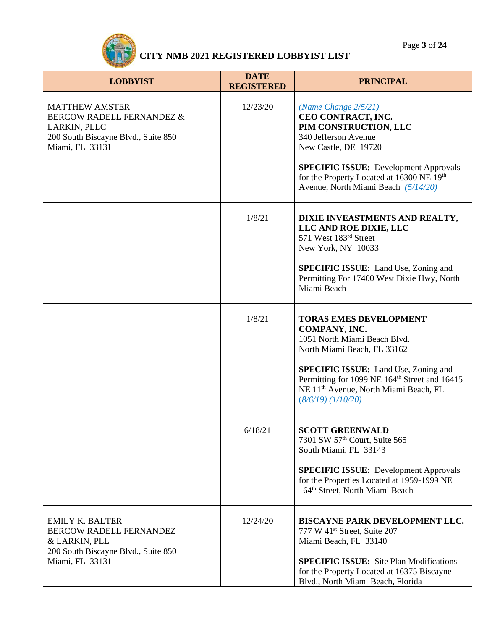Page **3** of **24**



| <b>LOBBYIST</b>                                                                                                              | <b>DATE</b><br><b>REGISTERED</b> | <b>PRINCIPAL</b>                                                                                                                                                                                                                                                                                     |
|------------------------------------------------------------------------------------------------------------------------------|----------------------------------|------------------------------------------------------------------------------------------------------------------------------------------------------------------------------------------------------------------------------------------------------------------------------------------------------|
| <b>MATTHEW AMSTER</b><br>BERCOW RADELL FERNANDEZ &<br>LARKIN, PLLC<br>200 South Biscayne Blvd., Suite 850<br>Miami, FL 33131 | 12/23/20                         | (Name Change $2/5/21$ )<br>CEO CONTRACT, INC.<br>PIM CONSTRUCTION, LLC<br>340 Jefferson Avenue<br>New Castle, DE 19720<br><b>SPECIFIC ISSUE:</b> Development Approvals<br>for the Property Located at 16300 NE 19th<br>Avenue, North Miami Beach (5/14/20)                                           |
|                                                                                                                              | 1/8/21                           | DIXIE INVEASTMENTS AND REALTY,<br>LLC AND ROE DIXIE, LLC<br>571 West 183rd Street<br>New York, NY 10033<br><b>SPECIFIC ISSUE:</b> Land Use, Zoning and<br>Permitting For 17400 West Dixie Hwy, North<br>Miami Beach                                                                                  |
|                                                                                                                              | 1/8/21                           | <b>TORAS EMES DEVELOPMENT</b><br>COMPANY, INC.<br>1051 North Miami Beach Blvd.<br>North Miami Beach, FL 33162<br><b>SPECIFIC ISSUE:</b> Land Use, Zoning and<br>Permitting for 1099 NE 164 <sup>th</sup> Street and 16415<br>NE 11 <sup>th</sup> Avenue, North Miami Beach, FL<br>(8/6/19) (1/10/20) |
|                                                                                                                              | 6/18/21                          | <b>SCOTT GREENWALD</b><br>7301 SW 57th Court, Suite 565<br>South Miami, FL 33143<br><b>SPECIFIC ISSUE:</b> Development Approvals<br>for the Properties Located at 1959-1999 NE<br>164 <sup>th</sup> Street, North Miami Beach                                                                        |
| <b>EMILY K. BALTER</b><br>BERCOW RADELL FERNANDEZ<br>& LARKIN, PLL<br>200 South Biscayne Blvd., Suite 850<br>Miami, FL 33131 | 12/24/20                         | <b>BISCAYNE PARK DEVELOPMENT LLC.</b><br>777 W 41 <sup>st</sup> Street, Suite 207<br>Miami Beach, FL 33140<br><b>SPECIFIC ISSUE:</b> Site Plan Modifications<br>for the Property Located at 16375 Biscayne<br>Blvd., North Miami Beach, Florida                                                      |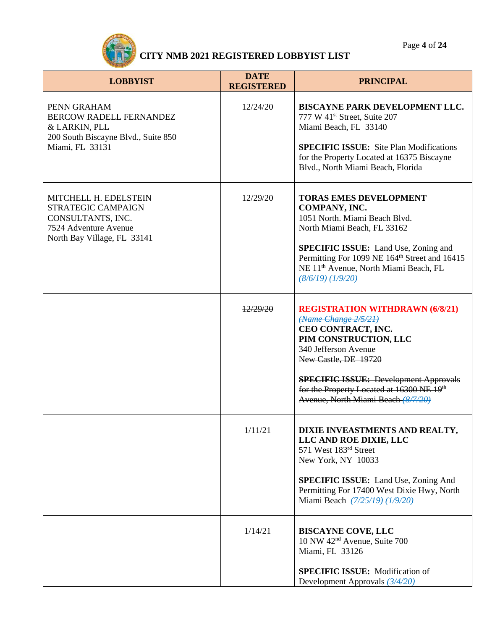Page **4** of **24**



| <b>LOBBYIST</b>                                                                                                          | <b>DATE</b><br><b>REGISTERED</b> | <b>PRINCIPAL</b>                                                                                                                                                                                                                                                                                             |
|--------------------------------------------------------------------------------------------------------------------------|----------------------------------|--------------------------------------------------------------------------------------------------------------------------------------------------------------------------------------------------------------------------------------------------------------------------------------------------------------|
| PENN GRAHAM<br><b>BERCOW RADELL FERNANDEZ</b><br>& LARKIN, PLL<br>200 South Biscayne Blvd., Suite 850<br>Miami, FL 33131 | 12/24/20                         | BISCAYNE PARK DEVELOPMENT LLC.<br>777 W 41 <sup>st</sup> Street, Suite 207<br>Miami Beach, FL 33140<br><b>SPECIFIC ISSUE:</b> Site Plan Modifications<br>for the Property Located at 16375 Biscayne<br>Blvd., North Miami Beach, Florida                                                                     |
| MITCHELL H. EDELSTEIN<br>STRATEGIC CAMPAIGN<br>CONSULTANTS, INC.<br>7524 Adventure Avenue<br>North Bay Village, FL 33141 | 12/29/20                         | <b>TORAS EMES DEVELOPMENT</b><br>COMPANY, INC.<br>1051 North. Miami Beach Blvd.<br>North Miami Beach, FL 33162<br><b>SPECIFIC ISSUE:</b> Land Use, Zoning and<br>Permitting For 1099 NE 164 <sup>th</sup> Street and 16415<br>NE 11 <sup>th</sup> Avenue, North Miami Beach, FL<br>(8/6/19) (1/9/20)         |
|                                                                                                                          | 12/29/20                         | <b>REGISTRATION WITHDRAWN (6/8/21)</b><br>(Name Change 2/5/21)<br>CEO CONTRACT, INC.<br>PIM CONSTRUCTION, LLC<br>340 Jefferson Avenue<br>New Castle, DE 19720<br><b>SPECIFIC ISSUE: Development Approvals</b><br>for the Property Located at 16300 NE 19 <sup>th</sup><br>Avenue, North Miami Beach (8/7/20) |
|                                                                                                                          | 1/11/21                          | DIXIE INVEASTMENTS AND REALTY,<br>LLC AND ROE DIXIE, LLC<br>571 West 183rd Street<br>New York, NY 10033<br><b>SPECIFIC ISSUE:</b> Land Use, Zoning And<br>Permitting For 17400 West Dixie Hwy, North<br>Miami Beach (7/25/19) (1/9/20)                                                                       |
|                                                                                                                          | 1/14/21                          | <b>BISCAYNE COVE, LLC</b><br>10 NW 42 <sup>nd</sup> Avenue, Suite 700<br>Miami, FL 33126<br><b>SPECIFIC ISSUE:</b> Modification of<br>Development Approvals $(3/4/20)$                                                                                                                                       |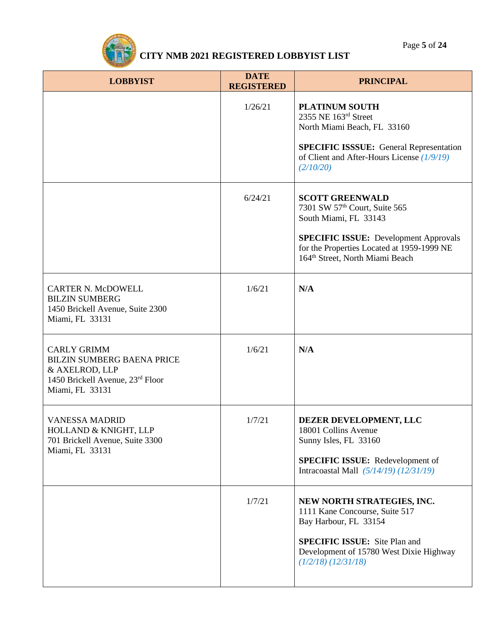

| <b>LOBBYIST</b>                                                                                                                  | <b>DATE</b><br><b>REGISTERED</b> | <b>PRINCIPAL</b>                                                                                                                                                                                                                          |
|----------------------------------------------------------------------------------------------------------------------------------|----------------------------------|-------------------------------------------------------------------------------------------------------------------------------------------------------------------------------------------------------------------------------------------|
|                                                                                                                                  | 1/26/21                          | <b>PLATINUM SOUTH</b><br>2355 NE 163rd Street<br>North Miami Beach, FL 33160<br><b>SPECIFIC ISSSUE:</b> General Representation<br>of Client and After-Hours License (1/9/19)<br>(2/10/20)                                                 |
|                                                                                                                                  | 6/24/21                          | <b>SCOTT GREENWALD</b><br>7301 SW 57 <sup>th</sup> Court, Suite 565<br>South Miami, FL 33143<br><b>SPECIFIC ISSUE:</b> Development Approvals<br>for the Properties Located at 1959-1999 NE<br>164 <sup>th</sup> Street, North Miami Beach |
| <b>CARTER N. McDOWELL</b><br><b>BILZIN SUMBERG</b><br>1450 Brickell Avenue, Suite 2300<br>Miami, FL 33131                        | 1/6/21                           | N/A                                                                                                                                                                                                                                       |
| <b>CARLY GRIMM</b><br><b>BILZIN SUMBERG BAENA PRICE</b><br>& AXELROD, LLP<br>1450 Brickell Avenue, 23rd Floor<br>Miami, FL 33131 | 1/6/21                           | N/A                                                                                                                                                                                                                                       |
| <b>VANESSA MADRID</b><br>HOLLAND & KNIGHT, LLP<br>701 Brickell Avenue, Suite 3300<br>Miami, FL 33131                             | 1/7/21                           | DEZER DEVELOPMENT, LLC<br>18001 Collins Avenue<br>Sunny Isles, FL 33160<br><b>SPECIFIC ISSUE:</b> Redevelopment of<br>Intracoastal Mall (5/14/19) (12/31/19)                                                                              |
|                                                                                                                                  | 1/7/21                           | NEW NORTH STRATEGIES, INC.<br>1111 Kane Concourse, Suite 517<br>Bay Harbour, FL 33154<br><b>SPECIFIC ISSUE:</b> Site Plan and<br>Development of 15780 West Dixie Highway<br>$(1/2/18)$ $(12/31/18)$                                       |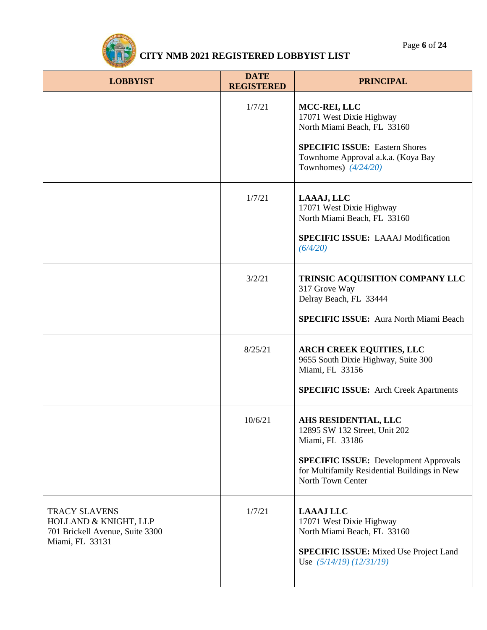

| <b>LOBBYIST</b>                                                                                     | <b>DATE</b><br><b>REGISTERED</b> | <b>PRINCIPAL</b>                                                                                                                                                                              |
|-----------------------------------------------------------------------------------------------------|----------------------------------|-----------------------------------------------------------------------------------------------------------------------------------------------------------------------------------------------|
|                                                                                                     | 1/7/21                           | MCC-REI, LLC<br>17071 West Dixie Highway<br>North Miami Beach, FL 33160<br><b>SPECIFIC ISSUE: Eastern Shores</b><br>Townhome Approval a.k.a. (Koya Bay<br>Townhomes) $(4/24/20)$              |
|                                                                                                     | 1/7/21                           | LAAAJ, LLC<br>17071 West Dixie Highway<br>North Miami Beach, FL 33160<br><b>SPECIFIC ISSUE: LAAAJ Modification</b><br>(6/4/20)                                                                |
|                                                                                                     | 3/2/21                           | TRINSIC ACQUISITION COMPANY LLC<br>317 Grove Way<br>Delray Beach, FL 33444<br><b>SPECIFIC ISSUE:</b> Aura North Miami Beach                                                                   |
|                                                                                                     | 8/25/21                          | <b>ARCH CREEK EQUITIES, LLC</b><br>9655 South Dixie Highway, Suite 300<br>Miami, FL 33156<br><b>SPECIFIC ISSUE:</b> Arch Creek Apartments                                                     |
|                                                                                                     | 10/6/21                          | AHS RESIDENTIAL, LLC<br>12895 SW 132 Street, Unit 202<br>Miami, FL 33186<br><b>SPECIFIC ISSUE:</b> Development Approvals<br>for Multifamily Residential Buildings in New<br>North Town Center |
| <b>TRACY SLAVENS</b><br>HOLLAND & KNIGHT, LLP<br>701 Brickell Avenue, Suite 3300<br>Miami, FL 33131 | 1/7/21                           | <b>LAAAJ LLC</b><br>17071 West Dixie Highway<br>North Miami Beach, FL 33160<br><b>SPECIFIC ISSUE:</b> Mixed Use Project Land<br>Use $(5/14/19)$ $(12/31/19)$                                  |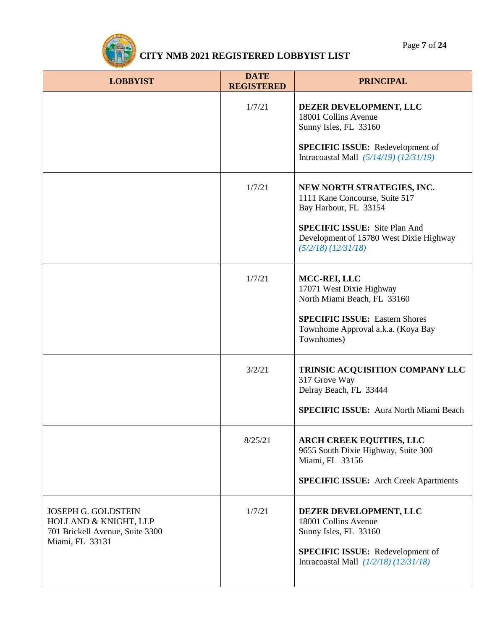

| <b>LOBBYIST</b>                                                                                    | <b>DATE</b><br><b>REGISTERED</b> | <b>PRINCIPAL</b>                                                                                                                                                                                    |
|----------------------------------------------------------------------------------------------------|----------------------------------|-----------------------------------------------------------------------------------------------------------------------------------------------------------------------------------------------------|
|                                                                                                    | 1/7/21                           | DEZER DEVELOPMENT, LLC<br>18001 Collins Avenue<br>Sunny Isles, FL 33160<br><b>SPECIFIC ISSUE:</b> Redevelopment of<br>Intracoastal Mall (5/14/19) (12/31/19)                                        |
|                                                                                                    | 1/7/21                           | NEW NORTH STRATEGIES, INC.<br>1111 Kane Concourse, Suite 517<br>Bay Harbour, FL 33154<br><b>SPECIFIC ISSUE:</b> Site Plan And<br>Development of 15780 West Dixie Highway<br>$(5/2/18)$ $(12/31/18)$ |
|                                                                                                    | 1/7/21                           | MCC-REI, LLC<br>17071 West Dixie Highway<br>North Miami Beach, FL 33160<br><b>SPECIFIC ISSUE: Eastern Shores</b><br>Townhome Approval a.k.a. (Koya Bay<br>Townhomes)                                |
|                                                                                                    | 3/2/21                           | TRINSIC ACQUISITION COMPANY LLC<br>317 Grove Way<br>Delray Beach, FL 33444<br><b>SPECIFIC ISSUE:</b> Aura North Miami Beach                                                                         |
|                                                                                                    | 8/25/21                          | <b>ARCH CREEK EQUITIES, LLC</b><br>9655 South Dixie Highway, Suite 300<br>Miami, FL 33156<br><b>SPECIFIC ISSUE:</b> Arch Creek Apartments                                                           |
| JOSEPH G. GOLDSTEIN<br>HOLLAND & KNIGHT, LLP<br>701 Brickell Avenue, Suite 3300<br>Miami, FL 33131 | 1/7/21                           | DEZER DEVELOPMENT, LLC<br>18001 Collins Avenue<br>Sunny Isles, FL 33160<br><b>SPECIFIC ISSUE:</b> Redevelopment of<br>Intracoastal Mall $(1/2/18)$ $(12/31/18)$                                     |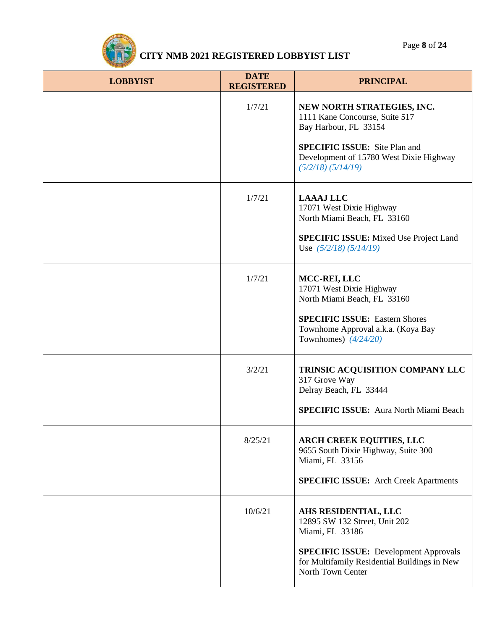

| <b>LOBBYIST</b> | <b>DATE</b><br><b>REGISTERED</b> | <b>PRINCIPAL</b>                                                                                                                                                                                   |
|-----------------|----------------------------------|----------------------------------------------------------------------------------------------------------------------------------------------------------------------------------------------------|
|                 | 1/7/21                           | NEW NORTH STRATEGIES, INC.<br>1111 Kane Concourse, Suite 517<br>Bay Harbour, FL 33154<br><b>SPECIFIC ISSUE:</b> Site Plan and<br>Development of 15780 West Dixie Highway<br>$(5/2/18)$ $(5/14/19)$ |
|                 | 1/7/21                           | <b>LAAAJ LLC</b><br>17071 West Dixie Highway<br>North Miami Beach, FL 33160<br><b>SPECIFIC ISSUE:</b> Mixed Use Project Land<br>Use $(5/2/18)$ $(5/14/19)$                                         |
|                 | 1/7/21                           | MCC-REI, LLC<br>17071 West Dixie Highway<br>North Miami Beach, FL 33160<br><b>SPECIFIC ISSUE: Eastern Shores</b><br>Townhome Approval a.k.a. (Koya Bay<br>Townhomes) $(4/24/20)$                   |
|                 | 3/2/21                           | TRINSIC ACQUISITION COMPANY LLC<br>317 Grove Way<br>Delray Beach, FL 33444<br><b>SPECIFIC ISSUE:</b> Aura North Miami Beach                                                                        |
|                 | 8/25/21                          | <b>ARCH CREEK EQUITIES, LLC</b><br>9655 South Dixie Highway, Suite 300<br>Miami, FL 33156<br><b>SPECIFIC ISSUE:</b> Arch Creek Apartments                                                          |
|                 | 10/6/21                          | AHS RESIDENTIAL, LLC<br>12895 SW 132 Street, Unit 202<br>Miami, FL 33186<br><b>SPECIFIC ISSUE: Development Approvals</b><br>for Multifamily Residential Buildings in New<br>North Town Center      |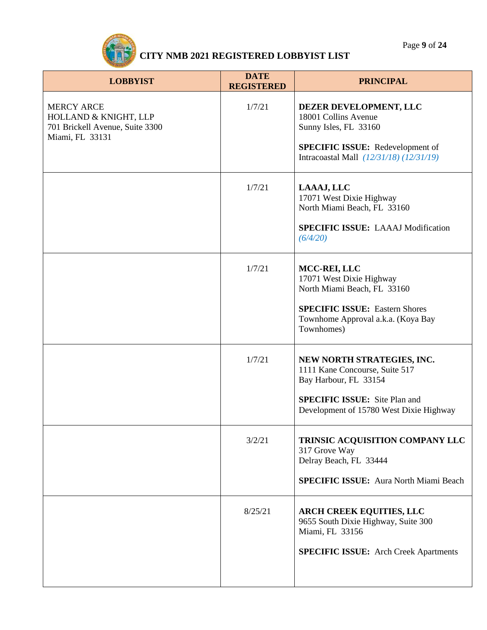| <b>LOBBYIST</b>                                                                                  | <b>DATE</b><br><b>REGISTERED</b> | <b>PRINCIPAL</b>                                                                                                                                                         |
|--------------------------------------------------------------------------------------------------|----------------------------------|--------------------------------------------------------------------------------------------------------------------------------------------------------------------------|
| <b>MERCY ARCE</b><br>HOLLAND & KNIGHT, LLP<br>701 Brickell Avenue, Suite 3300<br>Miami, FL 33131 | 1/7/21                           | DEZER DEVELOPMENT, LLC<br>18001 Collins Avenue<br>Sunny Isles, FL 33160<br><b>SPECIFIC ISSUE:</b> Redevelopment of<br>Intracoastal Mall (12/31/18) (12/31/19)            |
|                                                                                                  | 1/7/21                           | LAAAJ, LLC<br>17071 West Dixie Highway<br>North Miami Beach, FL 33160<br><b>SPECIFIC ISSUE: LAAAJ Modification</b><br>(6/4/20)                                           |
|                                                                                                  | 1/7/21                           | MCC-REI, LLC<br>17071 West Dixie Highway<br>North Miami Beach, FL 33160<br><b>SPECIFIC ISSUE: Eastern Shores</b><br>Townhome Approval a.k.a. (Koya Bay<br>Townhomes)     |
|                                                                                                  | 1/7/21                           | NEW NORTH STRATEGIES, INC.<br>1111 Kane Concourse, Suite 517<br>Bay Harbour, FL 33154<br><b>SPECIFIC ISSUE:</b> Site Plan and<br>Development of 15780 West Dixie Highway |
|                                                                                                  | 3/2/21                           | TRINSIC ACQUISITION COMPANY LLC<br>317 Grove Way<br>Delray Beach, FL 33444<br><b>SPECIFIC ISSUE:</b> Aura North Miami Beach                                              |
|                                                                                                  | 8/25/21                          | <b>ARCH CREEK EQUITIES, LLC</b><br>9655 South Dixie Highway, Suite 300<br>Miami, FL 33156<br><b>SPECIFIC ISSUE:</b> Arch Creek Apartments                                |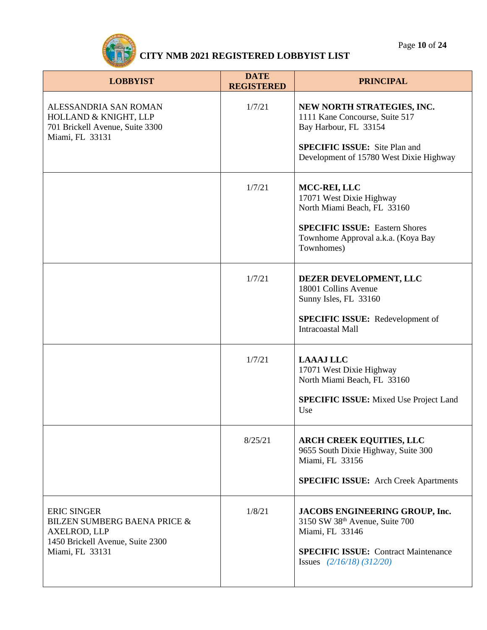Page **10** of **24**



| <b>LOBBYIST</b>                                                                                                                             | <b>DATE</b><br><b>REGISTERED</b> | <b>PRINCIPAL</b>                                                                                                                                                                |
|---------------------------------------------------------------------------------------------------------------------------------------------|----------------------------------|---------------------------------------------------------------------------------------------------------------------------------------------------------------------------------|
| ALESSANDRIA SAN ROMAN<br>HOLLAND & KNIGHT, LLP<br>701 Brickell Avenue, Suite 3300<br>Miami, FL 33131                                        | 1/7/21                           | NEW NORTH STRATEGIES, INC.<br>1111 Kane Concourse, Suite 517<br>Bay Harbour, FL 33154<br><b>SPECIFIC ISSUE:</b> Site Plan and<br>Development of 15780 West Dixie Highway        |
|                                                                                                                                             | 1/7/21                           | MCC-REI, LLC<br>17071 West Dixie Highway<br>North Miami Beach, FL 33160<br><b>SPECIFIC ISSUE: Eastern Shores</b><br>Townhome Approval a.k.a. (Koya Bay<br>Townhomes)            |
|                                                                                                                                             | 1/7/21                           | DEZER DEVELOPMENT, LLC<br>18001 Collins Avenue<br>Sunny Isles, FL 33160<br><b>SPECIFIC ISSUE:</b> Redevelopment of<br><b>Intracoastal Mall</b>                                  |
|                                                                                                                                             | 1/7/21                           | <b>LAAAJ LLC</b><br>17071 West Dixie Highway<br>North Miami Beach, FL 33160<br><b>SPECIFIC ISSUE:</b> Mixed Use Project Land<br>Use                                             |
|                                                                                                                                             | 8/25/21                          | <b>ARCH CREEK EQUITIES, LLC</b><br>9655 South Dixie Highway, Suite 300<br>Miami, FL 33156<br><b>SPECIFIC ISSUE:</b> Arch Creek Apartments                                       |
| <b>ERIC SINGER</b><br><b>BILZEN SUMBERG BAENA PRICE &amp;</b><br><b>AXELROD, LLP</b><br>1450 Brickell Avenue, Suite 2300<br>Miami, FL 33131 | 1/8/21                           | JACOBS ENGINEERING GROUP, Inc.<br>3150 SW 38 <sup>th</sup> Avenue, Suite 700<br>Miami, FL 33146<br><b>SPECIFIC ISSUE:</b> Contract Maintenance<br>Issues $(2/16/18)$ $(312/20)$ |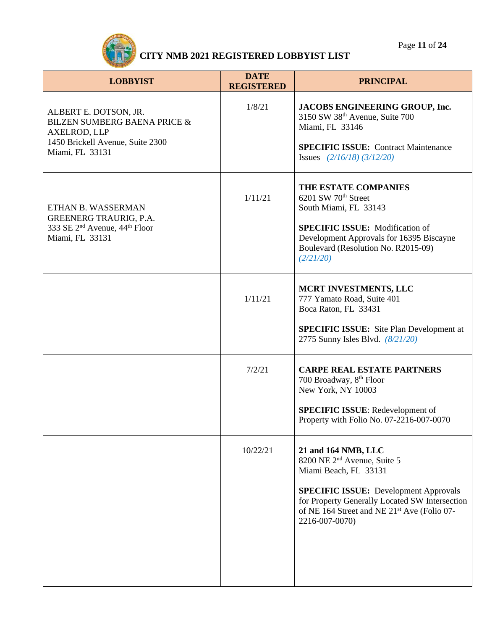Page **11** of **24**



| <b>LOBBYIST</b>                                                                                                                                | <b>DATE</b><br><b>REGISTERED</b> | <b>PRINCIPAL</b>                                                                                                                                                                                                                                                       |
|------------------------------------------------------------------------------------------------------------------------------------------------|----------------------------------|------------------------------------------------------------------------------------------------------------------------------------------------------------------------------------------------------------------------------------------------------------------------|
| ALBERT E. DOTSON, JR.<br><b>BILZEN SUMBERG BAENA PRICE &amp;</b><br><b>AXELROD, LLP</b><br>1450 Brickell Avenue, Suite 2300<br>Miami, FL 33131 | 1/8/21                           | JACOBS ENGINEERING GROUP, Inc.<br>3150 SW 38 <sup>th</sup> Avenue, Suite 700<br>Miami, FL 33146<br><b>SPECIFIC ISSUE: Contract Maintenance</b><br>Issues $(2/16/18)$ $(3/12/20)$                                                                                       |
| ETHAN B. WASSERMAN<br><b>GREENERG TRAURIG, P.A.</b><br>333 SE 2 <sup>nd</sup> Avenue, 44 <sup>th</sup> Floor<br>Miami, FL 33131                | 1/11/21                          | THE ESTATE COMPANIES<br>6201 SW 70 <sup>th</sup> Street<br>South Miami, FL 33143<br><b>SPECIFIC ISSUE:</b> Modification of<br>Development Approvals for 16395 Biscayne<br>Boulevard (Resolution No. R2015-09)<br>(2/21/20)                                             |
|                                                                                                                                                | 1/11/21                          | MCRT INVESTMENTS, LLC<br>777 Yamato Road, Suite 401<br>Boca Raton, FL 33431<br><b>SPECIFIC ISSUE:</b> Site Plan Development at<br>2775 Sunny Isles Blvd. (8/21/20)                                                                                                     |
|                                                                                                                                                | 7/2/21                           | <b>CARPE REAL ESTATE PARTNERS</b><br>700 Broadway, 8 <sup>th</sup> Floor<br>New York, NY 10003<br><b>SPECIFIC ISSUE:</b> Redevelopment of<br>Property with Folio No. 07-2216-007-0070                                                                                  |
|                                                                                                                                                | 10/22/21                         | 21 and 164 NMB, LLC<br>8200 NE 2 <sup>nd</sup> Avenue, Suite 5<br>Miami Beach, FL 33131<br><b>SPECIFIC ISSUE:</b> Development Approvals<br>for Property Generally Located SW Intersection<br>of NE 164 Street and NE 21 <sup>st</sup> Ave (Folio 07-<br>2216-007-0070) |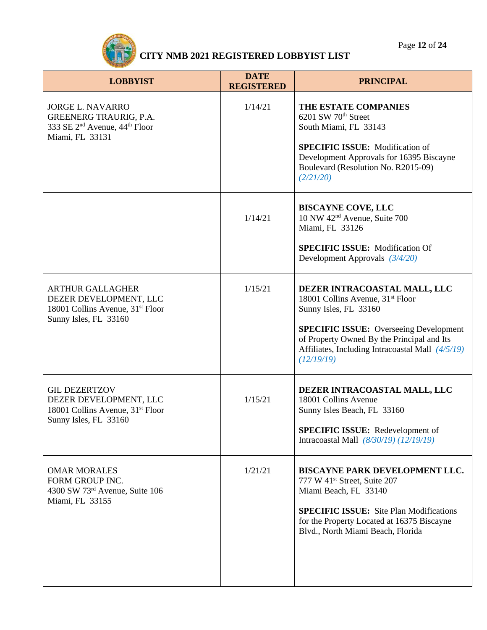

| <b>LOBBYIST</b>                                                                                                               | <b>DATE</b><br><b>REGISTERED</b> | <b>PRINCIPAL</b>                                                                                                                                                                                                                                                       |
|-------------------------------------------------------------------------------------------------------------------------------|----------------------------------|------------------------------------------------------------------------------------------------------------------------------------------------------------------------------------------------------------------------------------------------------------------------|
| <b>JORGE L. NAVARRO</b><br>GREENERG TRAURIG, P.A.<br>333 SE 2 <sup>nd</sup> Avenue, 44 <sup>th</sup> Floor<br>Miami, FL 33131 | 1/14/21                          | THE ESTATE COMPANIES<br>6201 SW 70 <sup>th</sup> Street<br>South Miami, FL 33143<br><b>SPECIFIC ISSUE:</b> Modification of<br>Development Approvals for 16395 Biscayne<br>Boulevard (Resolution No. R2015-09)<br>(2/21/20)                                             |
|                                                                                                                               | 1/14/21                          | <b>BISCAYNE COVE, LLC</b><br>10 NW 42 <sup>nd</sup> Avenue, Suite 700<br>Miami, FL 33126<br><b>SPECIFIC ISSUE:</b> Modification Of<br>Development Approvals $(3/4/20)$                                                                                                 |
| <b>ARTHUR GALLAGHER</b><br>DEZER DEVELOPMENT, LLC<br>18001 Collins Avenue, 31 <sup>st</sup> Floor<br>Sunny Isles, FL 33160    | 1/15/21                          | DEZER INTRACOASTAL MALL, LLC<br>18001 Collins Avenue, 31 <sup>st</sup> Floor<br>Sunny Isles, FL 33160<br><b>SPECIFIC ISSUE:</b> Overseeing Development<br>of Property Owned By the Principal and Its<br>Affiliates, Including Intracoastal Mall (4/5/19)<br>(12/19/19) |
| <b>GIL DEZERTZOV</b><br>DEZER DEVELOPMENT, LLC<br>18001 Collins Avenue, 31 <sup>st</sup> Floor<br>Sunny Isles, FL 33160       | 1/15/21                          | DEZER INTRACOASTAL MALL, LLC<br>18001 Collins Avenue<br>Sunny Isles Beach, FL 33160<br><b>SPECIFIC ISSUE:</b> Redevelopment of<br>Intracoastal Mall (8/30/19) (12/19/19)                                                                                               |
| <b>OMAR MORALES</b><br>FORM GROUP INC.<br>4300 SW 73rd Avenue, Suite 106<br>Miami, FL 33155                                   | 1/21/21                          | BISCAYNE PARK DEVELOPMENT LLC.<br>777 W 41st Street, Suite 207<br>Miami Beach, FL 33140<br><b>SPECIFIC ISSUE:</b> Site Plan Modifications<br>for the Property Located at 16375 Biscayne<br>Blvd., North Miami Beach, Florida                                           |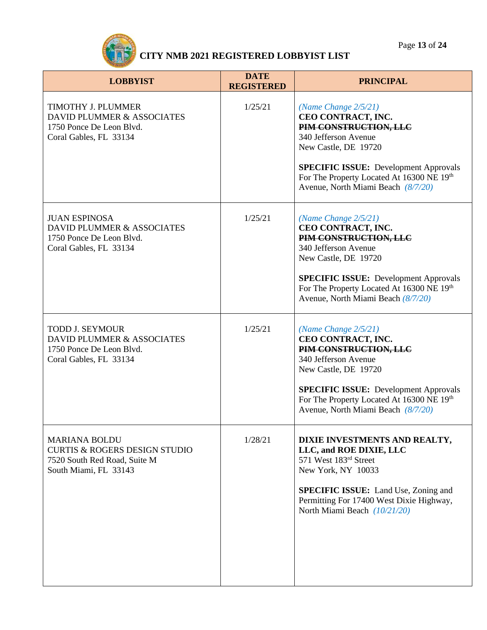Page **13** of **24**



| <b>LOBBYIST</b>                                                                                                           | <b>DATE</b><br><b>REGISTERED</b> | <b>PRINCIPAL</b>                                                                                                                                                                                                                                          |
|---------------------------------------------------------------------------------------------------------------------------|----------------------------------|-----------------------------------------------------------------------------------------------------------------------------------------------------------------------------------------------------------------------------------------------------------|
| TIMOTHY J. PLUMMER<br>DAVID PLUMMER & ASSOCIATES<br>1750 Ponce De Leon Blvd.<br>Coral Gables, FL 33134                    | 1/25/21                          | (Name Change $2/5/21$ )<br>CEO CONTRACT, INC.<br>PIM CONSTRUCTION, LLC<br>340 Jefferson Avenue<br>New Castle, DE 19720<br><b>SPECIFIC ISSUE:</b> Development Approvals<br>For The Property Located At 16300 NE 19th<br>Avenue, North Miami Beach (8/7/20) |
| <b>JUAN ESPINOSA</b><br>DAVID PLUMMER & ASSOCIATES<br>1750 Ponce De Leon Blvd.<br>Coral Gables, FL 33134                  | 1/25/21                          | (Name Change 2/5/21)<br>CEO CONTRACT, INC.<br>PIM CONSTRUCTION, LLC<br>340 Jefferson Avenue<br>New Castle, DE 19720<br><b>SPECIFIC ISSUE:</b> Development Approvals<br>For The Property Located At 16300 NE 19th<br>Avenue, North Miami Beach (8/7/20)    |
| <b>TODD J. SEYMOUR</b><br>DAVID PLUMMER & ASSOCIATES<br>1750 Ponce De Leon Blvd.<br>Coral Gables, FL 33134                | 1/25/21                          | (Name Change $2/5/21$ )<br>CEO CONTRACT, INC.<br>PIM CONSTRUCTION, LLC<br>340 Jefferson Avenue<br>New Castle, DE 19720<br><b>SPECIFIC ISSUE:</b> Development Approvals<br>For The Property Located At 16300 NE 19th<br>Avenue, North Miami Beach (8/7/20) |
| <b>MARIANA BOLDU</b><br><b>CURTIS &amp; ROGERS DESIGN STUDIO</b><br>7520 South Red Road, Suite M<br>South Miami, FL 33143 | 1/28/21                          | DIXIE INVESTMENTS AND REALTY,<br>LLC, and ROE DIXIE, LLC<br>571 West 183rd Street<br>New York, NY 10033<br><b>SPECIFIC ISSUE:</b> Land Use, Zoning and<br>Permitting For 17400 West Dixie Highway,<br>North Miami Beach (10/21/20)                        |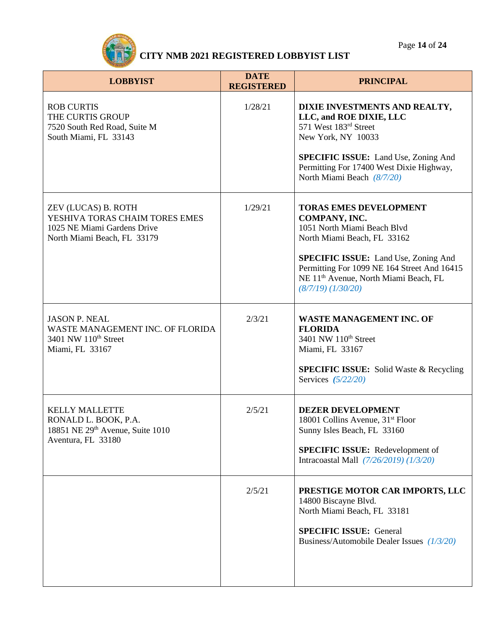Page **14** of **24**



| <b>LOBBYIST</b>                                                                                                     | <b>DATE</b><br><b>REGISTERED</b> | <b>PRINCIPAL</b>                                                                                                                                                                                                                                                                          |
|---------------------------------------------------------------------------------------------------------------------|----------------------------------|-------------------------------------------------------------------------------------------------------------------------------------------------------------------------------------------------------------------------------------------------------------------------------------------|
| <b>ROB CURTIS</b><br>THE CURTIS GROUP<br>7520 South Red Road, Suite M<br>South Miami, FL 33143                      | 1/28/21                          | DIXIE INVESTMENTS AND REALTY,<br>LLC, and ROE DIXIE, LLC<br>571 West 183rd Street<br>New York, NY 10033<br><b>SPECIFIC ISSUE:</b> Land Use, Zoning And<br>Permitting For 17400 West Dixie Highway,<br>North Miami Beach (8/7/20)                                                          |
| ZEV (LUCAS) B. ROTH<br>YESHIVA TORAS CHAIM TORES EMES<br>1025 NE Miami Gardens Drive<br>North Miami Beach, FL 33179 | 1/29/21                          | <b>TORAS EMES DEVELOPMENT</b><br>COMPANY, INC.<br>1051 North Miami Beach Blvd<br>North Miami Beach, FL 33162<br><b>SPECIFIC ISSUE:</b> Land Use, Zoning And<br>Permitting For 1099 NE 164 Street And 16415<br>NE 11 <sup>th</sup> Avenue, North Miami Beach, FL<br>$(8/7/19)$ $(1/30/20)$ |
| <b>JASON P. NEAL</b><br>WASTE MANAGEMENT INC. OF FLORIDA<br>3401 NW 110 <sup>th</sup> Street<br>Miami, FL 33167     | 2/3/21                           | <b>WASTE MANAGEMENT INC. OF</b><br><b>FLORIDA</b><br>3401 NW 110 <sup>th</sup> Street<br>Miami, FL 33167<br><b>SPECIFIC ISSUE:</b> Solid Waste & Recycling<br>Services $(5/22/20)$                                                                                                        |
| <b>KELLY MALLETTE</b><br>RONALD L. BOOK, P.A.<br>18851 NE 29th Avenue, Suite 1010<br>Aventura, FL 33180             | 2/5/21                           | <b>DEZER DEVELOPMENT</b><br>18001 Collins Avenue, 31 <sup>st</sup> Floor<br>Sunny Isles Beach, FL 33160<br><b>SPECIFIC ISSUE:</b> Redevelopment of<br>Intracoastal Mall (7/26/2019) (1/3/20)                                                                                              |
|                                                                                                                     | 2/5/21                           | PRESTIGE MOTOR CAR IMPORTS, LLC<br>14800 Biscayne Blvd.<br>North Miami Beach, FL 33181<br><b>SPECIFIC ISSUE: General</b><br>Business/Automobile Dealer Issues (1/3/20)                                                                                                                    |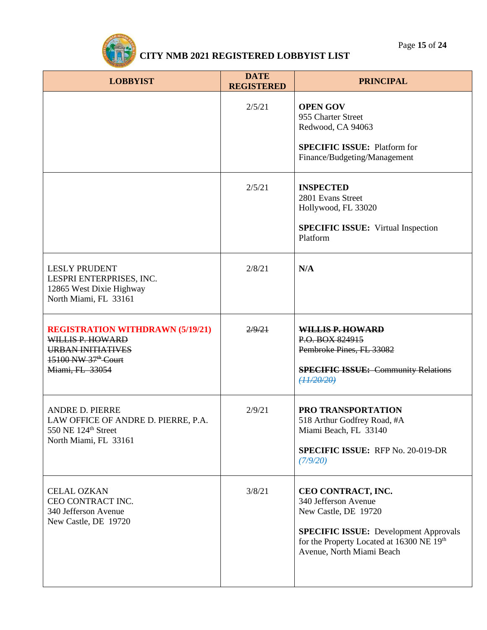

| <b>LOBBYIST</b>                                                                                                                               | <b>DATE</b><br><b>REGISTERED</b> | <b>PRINCIPAL</b>                                                                                                                                                                             |
|-----------------------------------------------------------------------------------------------------------------------------------------------|----------------------------------|----------------------------------------------------------------------------------------------------------------------------------------------------------------------------------------------|
|                                                                                                                                               | 2/5/21                           | <b>OPEN GOV</b><br>955 Charter Street<br>Redwood, CA 94063<br><b>SPECIFIC ISSUE: Platform for</b><br>Finance/Budgeting/Management                                                            |
|                                                                                                                                               | 2/5/21                           | <b>INSPECTED</b><br>2801 Evans Street<br>Hollywood, FL 33020<br><b>SPECIFIC ISSUE:</b> Virtual Inspection<br>Platform                                                                        |
| <b>LESLY PRUDENT</b><br>LESPRI ENTERPRISES, INC.<br>12865 West Dixie Highway<br>North Miami, FL 33161                                         | 2/8/21                           | N/A                                                                                                                                                                                          |
| <b>REGISTRATION WITHDRAWN (5/19/21)</b><br>WILLIS P. HOWARD<br><b>URBAN INITIATIVES</b><br>15100 NW 37 <sup>th</sup> Court<br>Miami, FL 33054 | 2/9/21                           | WILLIS P. HOWARD<br>P.O. BOX 824915<br>Pembroke Pines, FL 33082<br><b>SPECIFIC ISSUE: Community Relations</b><br>(11/20/20)                                                                  |
| <b>ANDRE D. PIERRE</b><br>LAW OFFICE OF ANDRE D. PIERRE, P.A.<br>550 NE 124 <sup>th</sup> Street<br>North Miami, FL 33161                     | 2/9/21                           | PRO TRANSPORTATION<br>518 Arthur Godfrey Road, #A<br>Miami Beach, FL 33140<br><b>SPECIFIC ISSUE: RFP No. 20-019-DR</b><br>(7/9/20)                                                           |
| <b>CELAL OZKAN</b><br>CEO CONTRACT INC.<br>340 Jefferson Avenue<br>New Castle, DE 19720                                                       | 3/8/21                           | CEO CONTRACT, INC.<br>340 Jefferson Avenue<br>New Castle, DE 19720<br><b>SPECIFIC ISSUE:</b> Development Approvals<br>for the Property Located at 16300 NE 19th<br>Avenue, North Miami Beach |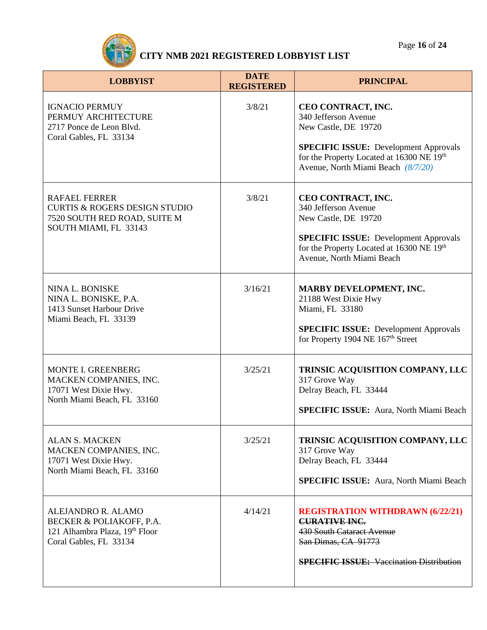

| <b>LOBBYIST</b>                                                                                                           | <b>DATE</b><br><b>REGISTERED</b> | <b>PRINCIPAL</b>                                                                                                                                                                                      |
|---------------------------------------------------------------------------------------------------------------------------|----------------------------------|-------------------------------------------------------------------------------------------------------------------------------------------------------------------------------------------------------|
| <b>IGNACIO PERMUY</b><br>PERMUY ARCHITECTURE<br>2717 Ponce de Leon Blvd.<br>Coral Gables, FL 33134                        | 3/8/21                           | CEO CONTRACT, INC.<br>340 Jefferson Avenue<br>New Castle, DE 19720<br><b>SPECIFIC ISSUE:</b> Development Approvals<br>for the Property Located at 16300 NE 19th<br>Avenue, North Miami Beach (8/7/20) |
| <b>RAFAEL FERRER</b><br><b>CURTIS &amp; ROGERS DESIGN STUDIO</b><br>7520 SOUTH RED ROAD, SUITE M<br>SOUTH MIAMI, FL 33143 | 3/8/21                           | CEO CONTRACT, INC.<br>340 Jefferson Avenue<br>New Castle, DE 19720<br><b>SPECIFIC ISSUE:</b> Development Approvals<br>for the Property Located at 16300 NE 19th<br>Avenue, North Miami Beach          |
| NINA L. BONISKE<br>NINA L. BONISKE, P.A.<br>1413 Sunset Harbour Drive<br>Miami Beach, FL 33139                            | 3/16/21                          | MARBY DEVELOPMENT, INC.<br>21188 West Dixie Hwy<br>Miami, FL 33180<br><b>SPECIFIC ISSUE:</b> Development Approvals<br>for Property 1904 NE 167 <sup>th</sup> Street                                   |
| <b>MONTE I. GREENBERG</b><br>MACKEN COMPANIES, INC.<br>17071 West Dixie Hwy.<br>North Miami Beach, FL 33160               | 3/25/21                          | TRINSIC ACQUISITION COMPANY, LLC<br>317 Grove Way<br>Delray Beach, FL 33444<br><b>SPECIFIC ISSUE:</b> Aura, North Miami Beach                                                                         |
| <b>ALAN S. MACKEN</b><br>MACKEN COMPANIES, INC.<br>17071 West Dixie Hwy.<br>North Miami Beach, FL 33160                   | 3/25/21                          | TRINSIC ACQUISITION COMPANY, LLC<br>317 Grove Way<br>Delray Beach, FL 33444<br><b>SPECIFIC ISSUE:</b> Aura, North Miami Beach                                                                         |
| ALEJANDRO R. ALAMO<br>BECKER & POLIAKOFF, P.A.<br>121 Alhambra Plaza, 19th Floor<br>Coral Gables, FL 33134                | 4/14/21                          | <b>REGISTRATION WITHDRAWN (6/22/21)</b><br><b>CURATIVE INC.</b><br><b>430 South Cataract Avenue</b><br>San Dimas, CA 91773<br><b>SPECIFIC ISSUE:</b> Vaccination Distribution                         |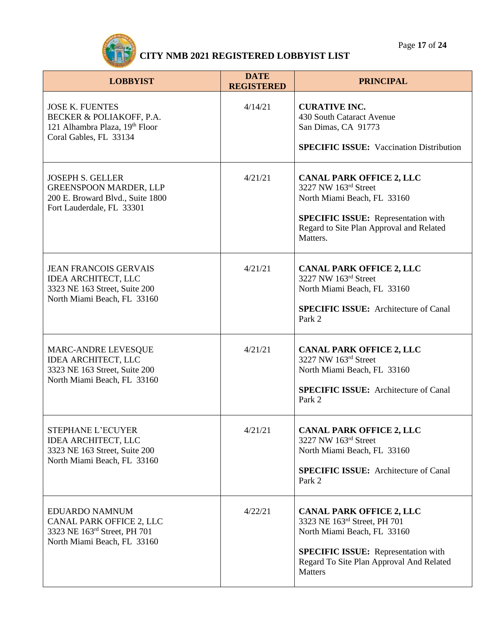

| <b>LOBBYIST</b>                                                                                                            | <b>DATE</b><br><b>REGISTERED</b> | <b>PRINCIPAL</b>                                                                                                                                                                                           |
|----------------------------------------------------------------------------------------------------------------------------|----------------------------------|------------------------------------------------------------------------------------------------------------------------------------------------------------------------------------------------------------|
| <b>JOSE K. FUENTES</b><br>BECKER & POLIAKOFF, P.A.<br>121 Alhambra Plaza, 19th Floor<br>Coral Gables, FL 33134             | 4/14/21                          | <b>CURATIVE INC.</b><br>430 South Cataract Avenue<br>San Dimas, CA 91773<br><b>SPECIFIC ISSUE:</b> Vaccination Distribution                                                                                |
| <b>JOSEPH S. GELLER</b><br><b>GREENSPOON MARDER, LLP</b><br>200 E. Broward Blvd., Suite 1800<br>Fort Lauderdale, FL 33301  | 4/21/21                          | <b>CANAL PARK OFFICE 2, LLC</b><br>3227 NW 163rd Street<br>North Miami Beach, FL 33160<br><b>SPECIFIC ISSUE:</b> Representation with<br>Regard to Site Plan Approval and Related<br>Matters.               |
| <b>JEAN FRANCOIS GERVAIS</b><br><b>IDEA ARCHITECT, LLC</b><br>3323 NE 163 Street, Suite 200<br>North Miami Beach, FL 33160 | 4/21/21                          | <b>CANAL PARK OFFICE 2, LLC</b><br>3227 NW 163rd Street<br>North Miami Beach, FL 33160<br><b>SPECIFIC ISSUE:</b> Architecture of Canal<br>Park 2                                                           |
| <b>MARC-ANDRE LEVESQUE</b><br><b>IDEA ARCHITECT, LLC</b><br>3323 NE 163 Street, Suite 200<br>North Miami Beach, FL 33160   | 4/21/21                          | <b>CANAL PARK OFFICE 2, LLC</b><br>3227 NW 163rd Street<br>North Miami Beach, FL 33160<br><b>SPECIFIC ISSUE:</b> Architecture of Canal<br>Park 2                                                           |
| <b>STEPHANE L'ECUYER</b><br><b>IDEA ARCHITECT, LLC</b><br>3323 NE 163 Street, Suite 200<br>North Miami Beach, FL 33160     | 4/21/21                          | <b>CANAL PARK OFFICE 2, LLC</b><br>3227 NW 163rd Street<br>North Miami Beach, FL 33160<br><b>SPECIFIC ISSUE:</b> Architecture of Canal<br>Park 2                                                           |
| EDUARDO NAMNUM<br>CANAL PARK OFFICE 2, LLC<br>3323 NE 163rd Street, PH 701<br>North Miami Beach, FL 33160                  | 4/22/21                          | <b>CANAL PARK OFFICE 2, LLC</b><br>3323 NE 163rd Street, PH 701<br>North Miami Beach, FL 33160<br><b>SPECIFIC ISSUE:</b> Representation with<br>Regard To Site Plan Approval And Related<br><b>Matters</b> |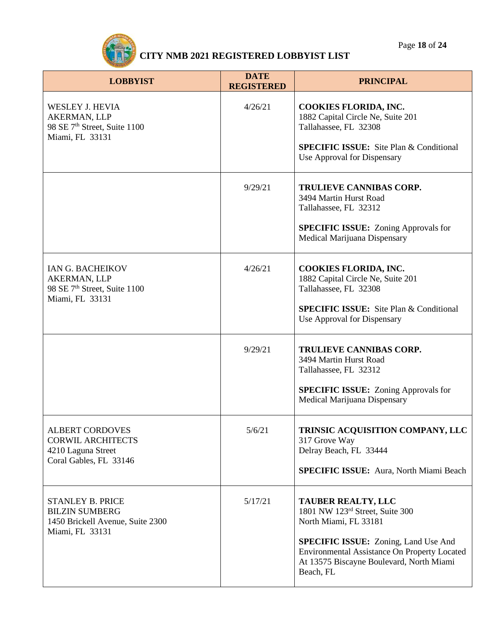

| <b>LOBBYIST</b>                                                                                         | <b>DATE</b><br><b>REGISTERED</b> | <b>PRINCIPAL</b>                                                                                                                                            |
|---------------------------------------------------------------------------------------------------------|----------------------------------|-------------------------------------------------------------------------------------------------------------------------------------------------------------|
| <b>WESLEY J. HEVIA</b><br>AKERMAN, LLP<br>98 SE 7 <sup>th</sup> Street, Suite 1100<br>Miami, FL 33131   | 4/26/21                          | <b>COOKIES FLORIDA, INC.</b><br>1882 Capital Circle Ne, Suite 201<br>Tallahassee, FL 32308                                                                  |
|                                                                                                         |                                  | <b>SPECIFIC ISSUE:</b> Site Plan & Conditional<br>Use Approval for Dispensary                                                                               |
|                                                                                                         | 9/29/21                          | TRULIEVE CANNIBAS CORP.<br>3494 Martin Hurst Road<br>Tallahassee, FL 32312                                                                                  |
|                                                                                                         |                                  | <b>SPECIFIC ISSUE:</b> Zoning Approvals for<br>Medical Marijuana Dispensary                                                                                 |
| IAN G. BACHEIKOV<br>AKERMAN, LLP<br>98 SE 7 <sup>th</sup> Street, Suite 1100<br>Miami, FL 33131         | 4/26/21                          | <b>COOKIES FLORIDA, INC.</b><br>1882 Capital Circle Ne, Suite 201<br>Tallahassee, FL 32308                                                                  |
|                                                                                                         |                                  | <b>SPECIFIC ISSUE:</b> Site Plan & Conditional<br>Use Approval for Dispensary                                                                               |
|                                                                                                         | 9/29/21                          | <b>TRULIEVE CANNIBAS CORP.</b><br>3494 Martin Hurst Road<br>Tallahassee, FL 32312                                                                           |
|                                                                                                         |                                  | <b>SPECIFIC ISSUE:</b> Zoning Approvals for<br>Medical Marijuana Dispensary                                                                                 |
| <b>ALBERT CORDOVES</b><br><b>CORWIL ARCHITECTS</b><br>4210 Laguna Street<br>Coral Gables, FL 33146      | 5/6/21                           | TRINSIC ACQUISITION COMPANY, LLC<br>317 Grove Way<br>Delray Beach, FL 33444                                                                                 |
|                                                                                                         |                                  | <b>SPECIFIC ISSUE:</b> Aura, North Miami Beach                                                                                                              |
| <b>STANLEY B. PRICE</b><br><b>BILZIN SUMBERG</b><br>1450 Brickell Avenue, Suite 2300<br>Miami, FL 33131 | 5/17/21                          | <b>TAUBER REALTY, LLC</b><br>1801 NW 123rd Street, Suite 300<br>North Miami, FL 33181                                                                       |
|                                                                                                         |                                  | <b>SPECIFIC ISSUE:</b> Zoning, Land Use And<br><b>Environmental Assistance On Property Located</b><br>At 13575 Biscayne Boulevard, North Miami<br>Beach, FL |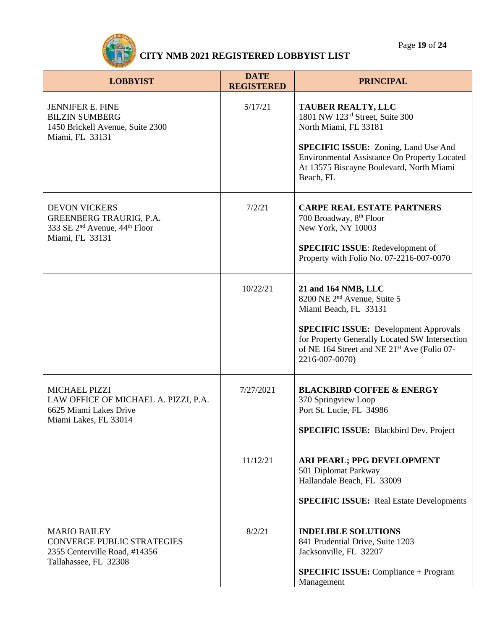

| <b>LOBBYIST</b>                                                                                                                    | <b>DATE</b><br><b>REGISTERED</b> | <b>PRINCIPAL</b>                                                                                                                                                                                                                                                       |
|------------------------------------------------------------------------------------------------------------------------------------|----------------------------------|------------------------------------------------------------------------------------------------------------------------------------------------------------------------------------------------------------------------------------------------------------------------|
| <b>JENNIFER E. FINE</b><br><b>BILZIN SUMBERG</b><br>1450 Brickell Avenue, Suite 2300<br>Miami, FL 33131                            | 5/17/21                          | <b>TAUBER REALTY, LLC</b><br>1801 NW 123rd Street, Suite 300<br>North Miami, FL 33181<br><b>SPECIFIC ISSUE:</b> Zoning, Land Use And<br>Environmental Assistance On Property Located<br>At 13575 Biscayne Boulevard, North Miami<br>Beach, FL                          |
| <b>DEVON VICKERS</b><br><b>GREENBERG TRAURIG, P.A.</b><br>333 SE 2 <sup>nd</sup> Avenue, 44 <sup>th</sup> Floor<br>Miami, FL 33131 | 7/2/21                           | <b>CARPE REAL ESTATE PARTNERS</b><br>700 Broadway, 8 <sup>th</sup> Floor<br>New York, NY 10003<br><b>SPECIFIC ISSUE:</b> Redevelopment of<br>Property with Folio No. 07-2216-007-0070                                                                                  |
|                                                                                                                                    | 10/22/21                         | 21 and 164 NMB, LLC<br>8200 NE 2 <sup>nd</sup> Avenue, Suite 5<br>Miami Beach, FL 33131<br><b>SPECIFIC ISSUE:</b> Development Approvals<br>for Property Generally Located SW Intersection<br>of NE 164 Street and NE 21 <sup>st</sup> Ave (Folio 07-<br>2216-007-0070) |
| <b>MICHAEL PIZZI</b><br>LAW OFFICE OF MICHAEL A. PIZZI, P.A.<br>6625 Miami Lakes Drive<br>Miami Lakes, FL 33014                    | 7/27/2021                        | <b>BLACKBIRD COFFEE &amp; ENERGY</b><br>370 Springview Loop<br>Port St. Lucie, FL 34986<br><b>SPECIFIC ISSUE:</b> Blackbird Dev. Project                                                                                                                               |
|                                                                                                                                    | 11/12/21                         | ARI PEARL; PPG DEVELOPMENT<br>501 Diplomat Parkway<br>Hallandale Beach, FL 33009<br><b>SPECIFIC ISSUE:</b> Real Estate Developments                                                                                                                                    |
| <b>MARIO BAILEY</b><br><b>CONVERGE PUBLIC STRATEGIES</b><br>2355 Centerville Road, #14356<br>Tallahassee, FL 32308                 | 8/2/21                           | <b>INDELIBLE SOLUTIONS</b><br>841 Prudential Drive, Suite 1203<br>Jacksonville, FL 32207<br><b>SPECIFIC ISSUE:</b> Compliance + Program<br>Management                                                                                                                  |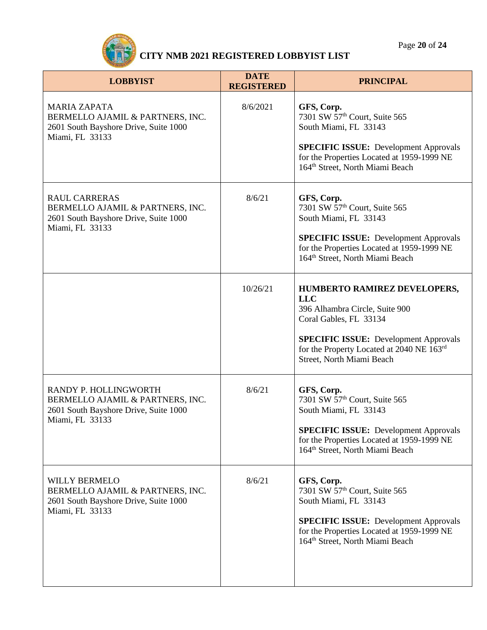Page **20** of **24**



| <b>LOBBYIST</b>                                                                                                       | <b>DATE</b><br><b>REGISTERED</b> | <b>PRINCIPAL</b>                                                                                                                                                                                                                 |
|-----------------------------------------------------------------------------------------------------------------------|----------------------------------|----------------------------------------------------------------------------------------------------------------------------------------------------------------------------------------------------------------------------------|
| <b>MARIA ZAPATA</b><br>BERMELLO AJAMIL & PARTNERS, INC.<br>2601 South Bayshore Drive, Suite 1000<br>Miami, FL 33133   | 8/6/2021                         | GFS, Corp.<br>7301 SW 57 <sup>th</sup> Court, Suite 565<br>South Miami, FL 33143<br><b>SPECIFIC ISSUE:</b> Development Approvals<br>for the Properties Located at 1959-1999 NE<br>164 <sup>th</sup> Street, North Miami Beach    |
| <b>RAUL CARRERAS</b><br>BERMELLO AJAMIL & PARTNERS, INC.<br>2601 South Bayshore Drive, Suite 1000<br>Miami, FL 33133  | 8/6/21                           | GFS, Corp.<br>7301 SW 57 <sup>th</sup> Court, Suite 565<br>South Miami, FL 33143<br><b>SPECIFIC ISSUE:</b> Development Approvals<br>for the Properties Located at 1959-1999 NE<br>164 <sup>th</sup> Street, North Miami Beach    |
|                                                                                                                       | 10/26/21                         | HUMBERTO RAMIREZ DEVELOPERS,<br><b>LLC</b><br>396 Alhambra Circle, Suite 900<br>Coral Gables, FL 33134<br><b>SPECIFIC ISSUE:</b> Development Approvals<br>for the Property Located at 2040 NE 163rd<br>Street, North Miami Beach |
| RANDY P. HOLLINGWORTH<br>BERMELLO AJAMIL & PARTNERS, INC.<br>2601 South Bayshore Drive, Suite 1000<br>Miami, FL 33133 | 8/6/21                           | GFS, Corp.<br>7301 SW 57 <sup>th</sup> Court, Suite 565<br>South Miami, FL 33143<br><b>SPECIFIC ISSUE:</b> Development Approvals<br>for the Properties Located at 1959-1999 NE<br>164 <sup>th</sup> Street, North Miami Beach    |
| <b>WILLY BERMELO</b><br>BERMELLO AJAMIL & PARTNERS, INC.<br>2601 South Bayshore Drive, Suite 1000<br>Miami, FL 33133  | 8/6/21                           | GFS, Corp.<br>7301 SW 57 <sup>th</sup> Court, Suite 565<br>South Miami, FL 33143<br><b>SPECIFIC ISSUE:</b> Development Approvals<br>for the Properties Located at 1959-1999 NE<br>164 <sup>th</sup> Street, North Miami Beach    |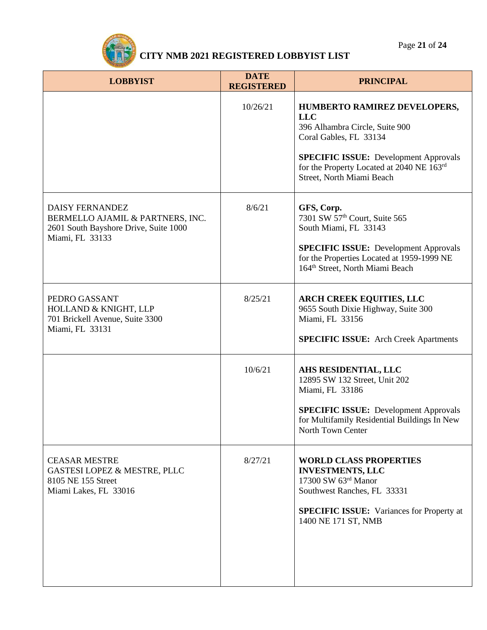

| <b>LOBBYIST</b>                                                                                                        | <b>DATE</b><br><b>REGISTERED</b> | <b>PRINCIPAL</b>                                                                                                                                                                                                                 |
|------------------------------------------------------------------------------------------------------------------------|----------------------------------|----------------------------------------------------------------------------------------------------------------------------------------------------------------------------------------------------------------------------------|
|                                                                                                                        | 10/26/21                         | HUMBERTO RAMIREZ DEVELOPERS,<br><b>LLC</b><br>396 Alhambra Circle, Suite 900<br>Coral Gables, FL 33134<br><b>SPECIFIC ISSUE:</b> Development Approvals<br>for the Property Located at 2040 NE 163rd<br>Street, North Miami Beach |
| <b>DAISY FERNANDEZ</b><br>BERMELLO AJAMIL & PARTNERS, INC.<br>2601 South Bayshore Drive, Suite 1000<br>Miami, FL 33133 | 8/6/21                           | GFS, Corp.<br>7301 SW 57 <sup>th</sup> Court, Suite 565<br>South Miami, FL 33143<br><b>SPECIFIC ISSUE:</b> Development Approvals<br>for the Properties Located at 1959-1999 NE<br>164 <sup>th</sup> Street, North Miami Beach    |
| PEDRO GASSANT<br><b>HOLLAND &amp; KNIGHT, LLP</b><br>701 Brickell Avenue, Suite 3300<br>Miami, FL 33131                | 8/25/21                          | <b>ARCH CREEK EQUITIES, LLC</b><br>9655 South Dixie Highway, Suite 300<br>Miami, FL 33156<br><b>SPECIFIC ISSUE:</b> Arch Creek Apartments                                                                                        |
|                                                                                                                        | 10/6/21                          | AHS RESIDENTIAL, LLC<br>12895 SW 132 Street, Unit 202<br>Miami, FL 33186<br><b>SPECIFIC ISSUE: Development Approvals</b><br>for Multifamily Residential Buildings In New<br>North Town Center                                    |
| <b>CEASAR MESTRE</b><br><b>GASTESI LOPEZ &amp; MESTRE, PLLC</b><br>8105 NE 155 Street<br>Miami Lakes, FL 33016         | 8/27/21                          | <b>WORLD CLASS PROPERTIES</b><br><b>INVESTMENTS, LLC</b><br>17300 SW 63rd Manor<br>Southwest Ranches, FL 33331<br><b>SPECIFIC ISSUE:</b> Variances for Property at<br>1400 NE 171 ST, NMB                                        |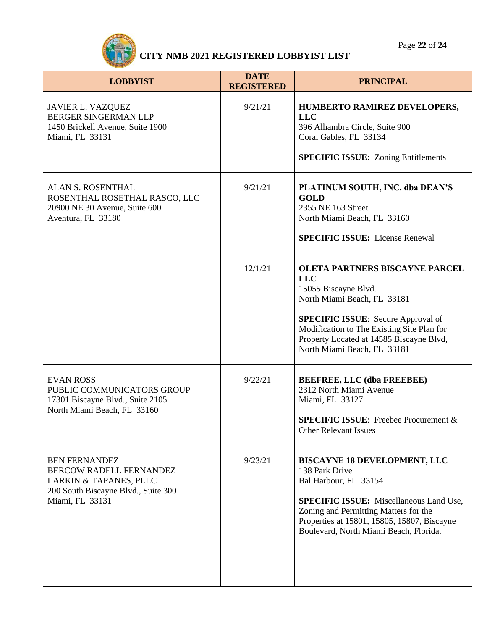

| <b>LOBBYIST</b>                                                                                                                            | <b>DATE</b><br><b>REGISTERED</b> | <b>PRINCIPAL</b>                                                                                                                                                                                                                                                                 |
|--------------------------------------------------------------------------------------------------------------------------------------------|----------------------------------|----------------------------------------------------------------------------------------------------------------------------------------------------------------------------------------------------------------------------------------------------------------------------------|
| <b>JAVIER L. VAZQUEZ</b><br><b>BERGER SINGERMAN LLP</b><br>1450 Brickell Avenue, Suite 1900<br>Miami, FL 33131                             | 9/21/21                          | <b>HUMBERTO RAMIREZ DEVELOPERS,</b><br><b>LLC</b><br>396 Alhambra Circle, Suite 900<br>Coral Gables, FL 33134<br><b>SPECIFIC ISSUE:</b> Zoning Entitlements                                                                                                                      |
| <b>ALAN S. ROSENTHAL</b><br>ROSENTHAL ROSETHAL RASCO, LLC<br>20900 NE 30 Avenue, Suite 600<br>Aventura, FL 33180                           | 9/21/21                          | PLATINUM SOUTH, INC. dba DEAN'S<br><b>GOLD</b><br>2355 NE 163 Street<br>North Miami Beach, FL 33160<br><b>SPECIFIC ISSUE:</b> License Renewal                                                                                                                                    |
|                                                                                                                                            | 12/1/21                          | <b>OLETA PARTNERS BISCAYNE PARCEL</b><br><b>LLC</b><br>15055 Biscayne Blvd.<br>North Miami Beach, FL 33181<br><b>SPECIFIC ISSUE:</b> Secure Approval of<br>Modification to The Existing Site Plan for<br>Property Located at 14585 Biscayne Blvd,<br>North Miami Beach, FL 33181 |
| <b>EVAN ROSS</b><br>PUBLIC COMMUNICATORS GROUP<br>17301 Biscayne Blvd., Suite 2105<br>North Miami Beach, FL 33160                          | 9/22/21                          | <b>BEEFREE, LLC (dba FREEBEE)</b><br>2312 North Miami Avenue<br>Miami, FL 33127<br><b>SPECIFIC ISSUE:</b> Freebee Procurement &<br>Other Relevant Issues                                                                                                                         |
| <b>BEN FERNANDEZ</b><br><b>BERCOW RADELL FERNANDEZ</b><br>LARKIN & TAPANES, PLLC<br>200 South Biscayne Blvd., Suite 300<br>Miami, FL 33131 | 9/23/21                          | <b>BISCAYNE 18 DEVELOPMENT, LLC</b><br>138 Park Drive<br>Bal Harbour, FL 33154<br><b>SPECIFIC ISSUE:</b> Miscellaneous Land Use,<br>Zoning and Permitting Matters for the<br>Properties at 15801, 15805, 15807, Biscayne<br>Boulevard, North Miami Beach, Florida.               |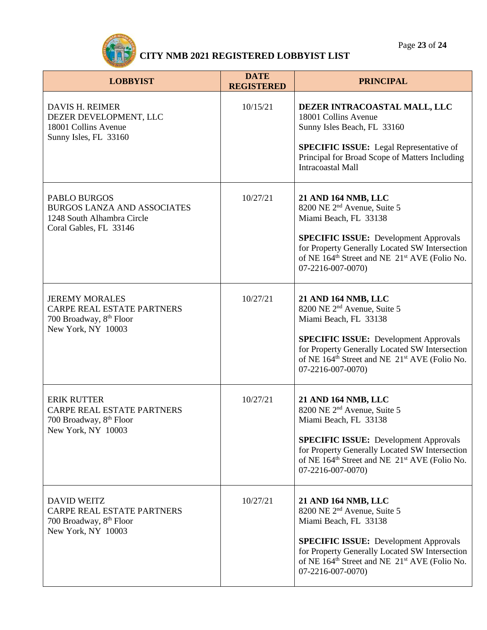

| <b>LOBBYIST</b>                                                                                                      | <b>DATE</b><br><b>REGISTERED</b> | <b>PRINCIPAL</b>                                                                                                                                                                                                                                                                        |
|----------------------------------------------------------------------------------------------------------------------|----------------------------------|-----------------------------------------------------------------------------------------------------------------------------------------------------------------------------------------------------------------------------------------------------------------------------------------|
| DAVIS H. REIMER<br>DEZER DEVELOPMENT, LLC<br>18001 Collins Avenue<br>Sunny Isles, FL 33160                           | 10/15/21                         | DEZER INTRACOASTAL MALL, LLC<br>18001 Collins Avenue<br>Sunny Isles Beach, FL 33160<br><b>SPECIFIC ISSUE:</b> Legal Representative of<br>Principal for Broad Scope of Matters Including<br><b>Intracoastal Mall</b>                                                                     |
| <b>PABLO BURGOS</b><br><b>BURGOS LANZA AND ASSOCIATES</b><br>1248 South Alhambra Circle<br>Coral Gables, FL 33146    | 10/27/21                         | 21 AND 164 NMB, LLC<br>8200 NE 2 <sup>nd</sup> Avenue, Suite 5<br>Miami Beach, FL 33138<br><b>SPECIFIC ISSUE:</b> Development Approvals<br>for Property Generally Located SW Intersection<br>of NE 164 <sup>th</sup> Street and NE 21 <sup>st</sup> AVE (Folio No.<br>07-2216-007-0070) |
| <b>JEREMY MORALES</b><br><b>CARPE REAL ESTATE PARTNERS</b><br>700 Broadway, 8th Floor<br>New York, NY 10003          | 10/27/21                         | 21 AND 164 NMB, LLC<br>8200 NE 2 <sup>nd</sup> Avenue, Suite 5<br>Miami Beach, FL 33138<br><b>SPECIFIC ISSUE:</b> Development Approvals<br>for Property Generally Located SW Intersection<br>of NE 164 <sup>th</sup> Street and NE 21 <sup>st</sup> AVE (Folio No.<br>07-2216-007-0070) |
| <b>ERIK RUTTER</b><br><b>CARPE REAL ESTATE PARTNERS</b><br>700 Broadway, 8 <sup>th</sup> Floor<br>New York, NY 10003 | 10/27/21                         | 21 AND 164 NMB, LLC<br>8200 NE 2 <sup>nd</sup> Avenue, Suite 5<br>Miami Beach, FL 33138<br><b>SPECIFIC ISSUE:</b> Development Approvals<br>for Property Generally Located SW Intersection<br>of NE 164 <sup>th</sup> Street and NE 21 <sup>st</sup> AVE (Folio No.<br>07-2216-007-0070) |
| <b>DAVID WEITZ</b><br><b>CARPE REAL ESTATE PARTNERS</b><br>700 Broadway, 8 <sup>th</sup> Floor<br>New York, NY 10003 | 10/27/21                         | 21 AND 164 NMB, LLC<br>8200 NE 2 <sup>nd</sup> Avenue, Suite 5<br>Miami Beach, FL 33138<br><b>SPECIFIC ISSUE:</b> Development Approvals<br>for Property Generally Located SW Intersection<br>of NE 164 <sup>th</sup> Street and NE 21 <sup>st</sup> AVE (Folio No.<br>07-2216-007-0070) |